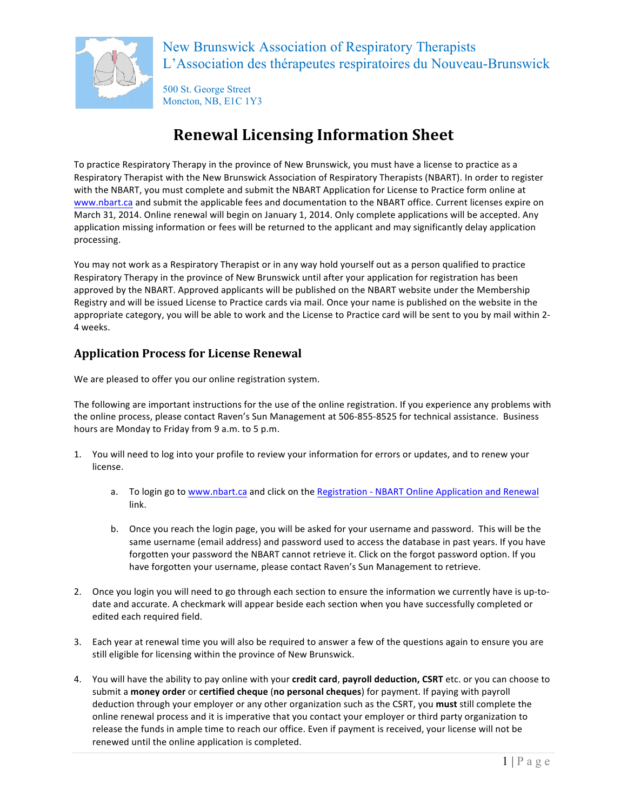

500 St. George Street Moncton, NB, E1C 1Y3

# **Renewal Licensing Information Sheet**

To practice Respiratory Therapy in the province of New Brunswick, you must have a license to practice as a Respiratory Therapist with the New Brunswick Association of Respiratory Therapists (NBART). In order to register with the NBART, you must complete and submit the NBART Application for License to Practice form online at www.nbart.ca and submit the applicable fees and documentation to the NBART office. Current licenses expire on March 31, 2014. Online renewal will begin on January 1, 2014. Only complete applications will be accepted. Any application missing information or fees will be returned to the applicant and may significantly delay application processing.

You may not work as a Respiratory Therapist or in any way hold yourself out as a person qualified to practice Respiratory Therapy in the province of New Brunswick until after your application for registration has been approved by the NBART. Approved applicants will be published on the NBART website under the Membership Registry and will be issued License to Practice cards via mail. Once your name is published on the website in the appropriate category, you will be able to work and the License to Practice card will be sent to you by mail within 2-4 weeks.

### **Application Process for License Renewal**

We are pleased to offer you our online registration system.

The following are important instructions for the use of the online registration. If you experience any problems with the online process, please contact Raven's Sun Management at 506-855-8525 for technical assistance. Business hours are Monday to Friday from 9 a.m. to 5 p.m.

- 1. You will need to log into your profile to review your information for errors or updates, and to renew your license.
	- a. To login go to www.nbart.ca and click on the Registration NBART Online Application and Renewal link.
	- b. Once you reach the login page, you will be asked for your username and password. This will be the same username (email address) and password used to access the database in past years. If you have forgotten your password the NBART cannot retrieve it. Click on the forgot password option. If you have forgotten your username, please contact Raven's Sun Management to retrieve.
- 2. Once you login you will need to go through each section to ensure the information we currently have is up-todate and accurate. A checkmark will appear beside each section when you have successfully completed or edited each required field.
- 3. Each year at renewal time you will also be required to answer a few of the questions again to ensure you are still eligible for licensing within the province of New Brunswick.
- 4. You will have the ability to pay online with your credit card, payroll deduction, CSRT etc. or you can choose to submit a money order or certified cheque (no personal cheques) for payment. If paying with payroll deduction through your employer or any other organization such as the CSRT, you must still complete the online renewal process and it is imperative that you contact your employer or third party organization to release the funds in ample time to reach our office. Even if payment is received, your license will not be renewed until the online application is completed.